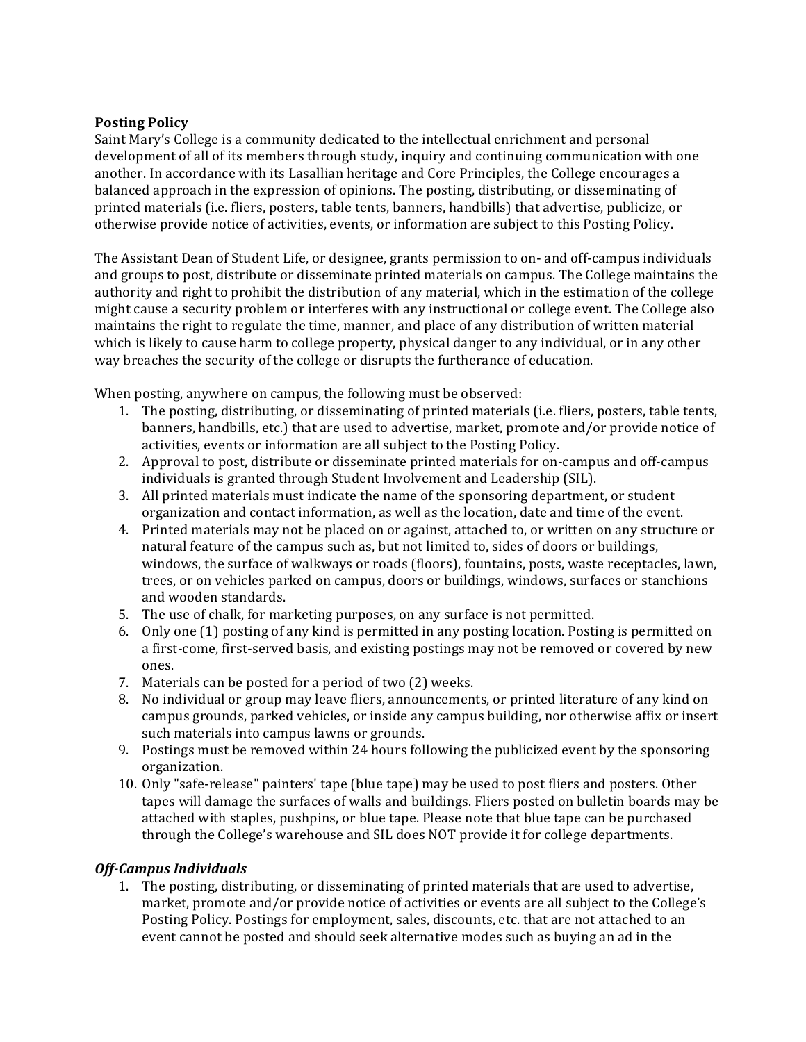## **Posting Policy**

Saint Mary's College is a community dedicated to the intellectual enrichment and personal development of all of its members through study, inquiry and continuing communication with one another. In accordance with its Lasallian heritage and Core Principles, the College encourages a balanced approach in the expression of opinions. The posting, distributing, or disseminating of printed materials (i.e. fliers, posters, table tents, banners, handbills) that advertise, publicize, or otherwise provide notice of activities, events, or information are subject to this Posting Policy.

The Assistant Dean of Student Life, or designee, grants permission to on- and off-campus individuals and groups to post, distribute or disseminate printed materials on campus. The College maintains the authority and right to prohibit the distribution of any material, which in the estimation of the college might cause a security problem or interferes with any instructional or college event. The College also maintains the right to regulate the time, manner, and place of any distribution of written material which is likely to cause harm to college property, physical danger to any individual, or in any other way breaches the security of the college or disrupts the furtherance of education.

When posting, anywhere on campus, the following must be observed:

- 1. The posting, distributing, or disseminating of printed materials (i.e. fliers, posters, table tents, banners, handbills, etc.) that are used to advertise, market, promote and/or provide notice of activities, events or information are all subject to the Posting Policy.
- 2. Approval to post, distribute or disseminate printed materials for on-campus and off-campus individuals is granted through Student Involvement and Leadership (SIL).
- 3. All printed materials must indicate the name of the sponsoring department, or student organization and contact information, as well as the location, date and time of the event.
- 4. Printed materials may not be placed on or against, attached to, or written on any structure or natural feature of the campus such as, but not limited to, sides of doors or buildings, windows, the surface of walkways or roads (floors), fountains, posts, waste receptacles, lawn, trees, or on vehicles parked on campus, doors or buildings, windows, surfaces or stanchions and wooden standards.
- 5. The use of chalk, for marketing purposes, on any surface is not permitted.
- 6. Only one (1) posting of any kind is permitted in any posting location. Posting is permitted on a first-come, first-served basis, and existing postings may not be removed or covered by new ones.
- 7. Materials can be posted for a period of two (2) weeks.
- 8. No individual or group may leave fliers, announcements, or printed literature of any kind on campus grounds, parked vehicles, or inside any campus building, nor otherwise affix or insert such materials into campus lawns or grounds.
- 9. Postings must be removed within 24 hours following the publicized event by the sponsoring organization.
- 10. Only "safe-release" painters' tape (blue tape) may be used to post fliers and posters. Other tapes will damage the surfaces of walls and buildings. Fliers posted on bulletin boards may be attached with staples, pushpins, or blue tape. Please note that blue tape can be purchased through the College's warehouse and SIL does NOT provide it for college departments.

## **Off-Campus Individuals**

1. The posting, distributing, or disseminating of printed materials that are used to advertise, market, promote and/or provide notice of activities or events are all subject to the College's Posting Policy. Postings for employment, sales, discounts, etc. that are not attached to an event cannot be posted and should seek alternative modes such as buying an ad in the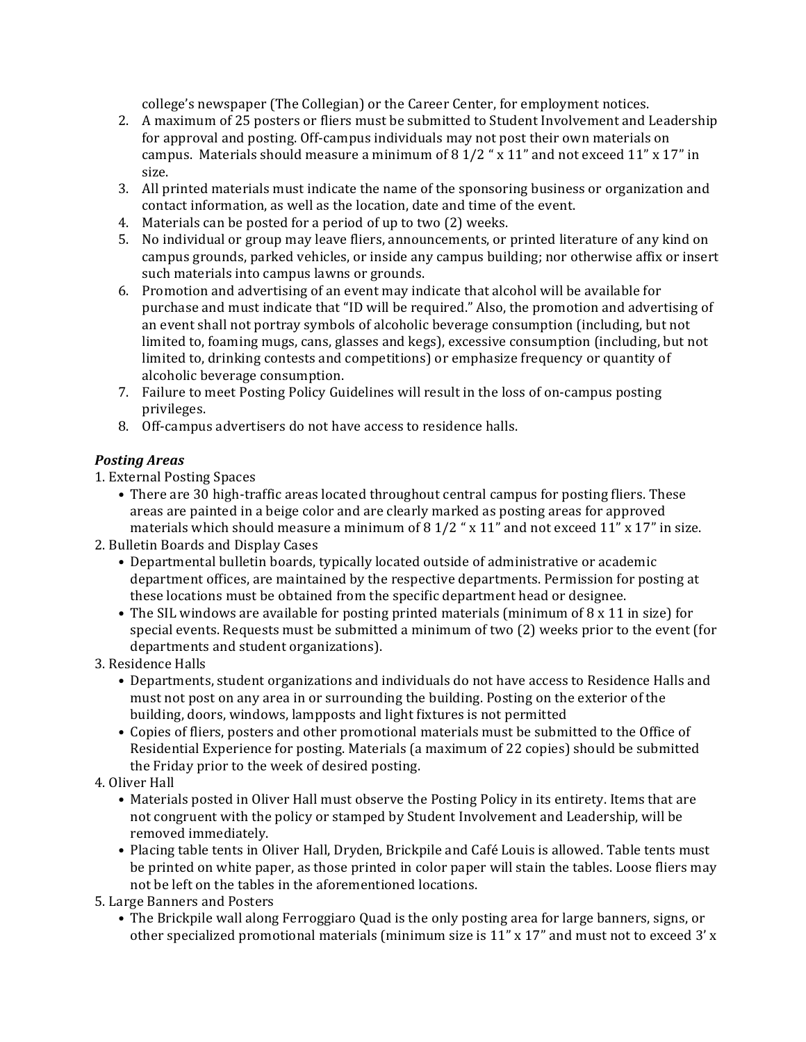college's newspaper (The Collegian) or the Career Center, for employment notices.

- 2. A maximum of 25 posters or fliers must be submitted to Student Involvement and Leadership for approval and posting. Off-campus individuals may not post their own materials on campus. Materials should measure a minimum of 8 1/2 "  $\times$  11" and not exceed 11"  $\times$  17" in size.
- 3. All printed materials must indicate the name of the sponsoring business or organization and contact information, as well as the location, date and time of the event.
- 4. Materials can be posted for a period of up to two (2) weeks.
- 5. No individual or group may leave fliers, announcements, or printed literature of any kind on campus grounds, parked vehicles, or inside any campus building; nor otherwise affix or insert such materials into campus lawns or grounds.
- 6. Promotion and advertising of an event may indicate that alcohol will be available for purchase and must indicate that "ID will be required." Also, the promotion and advertising of an event shall not portray symbols of alcoholic beverage consumption (including, but not limited to, foaming mugs, cans, glasses and kegs), excessive consumption (including, but not limited to, drinking contests and competitions) or emphasize frequency or quantity of alcoholic beverage consumption.
- 7. Failure to meet Posting Policy Guidelines will result in the loss of on-campus posting privileges.
- 8. Off-campus advertisers do not have access to residence halls.

## *Posting Areas*

1. External Posting Spaces

• There are 30 high-traffic areas located throughout central campus for posting fliers. These areas are painted in a beige color and are clearly marked as posting areas for approved materials which should measure a minimum of 8 1/2  $\degree$  x 11" and not exceed 11" x 17" in size.

2. Bulletin Boards and Display Cases

- Departmental bulletin boards, typically located outside of administrative or academic department offices, are maintained by the respective departments. Permission for posting at these locations must be obtained from the specific department head or designee.
- The SIL windows are available for posting printed materials (minimum of  $8 \times 11$  in size) for special events. Requests must be submitted a minimum of two (2) weeks prior to the event (for departments and student organizations).
- 3. Residence Halls
	- Departments, student organizations and individuals do not have access to Residence Halls and must not post on any area in or surrounding the building. Posting on the exterior of the building, doors, windows, lampposts and light fixtures is not permitted
	- Copies of fliers, posters and other promotional materials must be submitted to the Office of Residential Experience for posting. Materials (a maximum of 22 copies) should be submitted the Friday prior to the week of desired posting.
- 4. Oliver Hall
	- Materials posted in Oliver Hall must observe the Posting Policy in its entirety. Items that are not congruent with the policy or stamped by Student Involvement and Leadership, will be removed immediately.
	- Placing table tents in Oliver Hall, Dryden, Brickpile and Café Louis is allowed. Table tents must be printed on white paper, as those printed in color paper will stain the tables. Loose fliers may not be left on the tables in the aforementioned locations.

5. Large Banners and Posters

• The Brickpile wall along Ferroggiaro Quad is the only posting area for large banners, signs, or other specialized promotional materials (minimum size is  $11'' \times 17''$  and must not to exceed 3' x